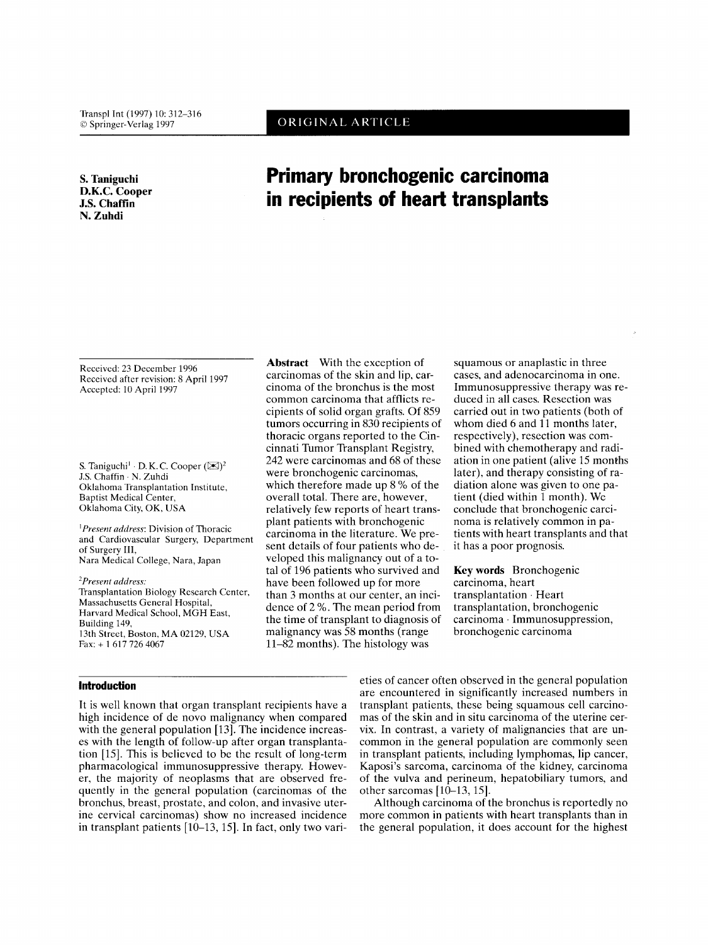Transpl Int (1997) 10: 312-316 © Springer-Verlag 1997

# ORIGINAL ARTICLE

**S. Taniguchi D.K.C. Cooper J.S. Chaffin N. Zuhdi** 

# **Primary bronchogenic carcinoma in recipients of heart transplants**

Receivcd: 23 December 1996 Received after revision: 8 April 1997 Accepted: 10 April 1997

**S.** Taniguchi' . D. K. C. Cooper (E3)2 J.S. Chaffin . N. Zuhdi Oklahoma Transplantation Institute, Baptist Medical Center, Oklahoma City, OK, USA

*'Present address:* Division of Thoracic and Cardiovascular Surgery, Department of Surgery **111,**  Nara Medical College, Nara, Japan

*2Present address:* 

Transplantation Biology Research Center, Massachusetts General Hospital, Harvard Medical School, MGH East, Building 149, 13th Street, Boston, MA 02129, USA France Medical Sche<br>Harvard Medical Sche<br>Building 149,<br>Fax: +1617 726 4067

# **Introduction**

It is well known that organ transplant recipients have a high incidence of de novo malignancy when compared with the general population [13]. The incidence increases with the length of follow-up after organ transplantation [15]. This is believed to be the result of long-term pharmacological immunosuppressive therapy. However, the majority of neoplasms that are observed frequently in the general population (carcinomas of the bronchus, breast, prostate, and colon, and invasive uterine cervical carcinomas) show no increased incidence in transplant patients **[lo-13, 151.** In fact, only two vari-

**Abstract** With the exception of carcinomas of the skin and lip, carcinoma of the bronchus is the most common carcinoma that afflicts recipients of solid organ grafts. Of 859 tumors occurring in **830** recipients of thoracic organs reported to the Cincinnati Tumor Transplant Registry, 242 were carcinomas and **68** of these were bronchogenic carcinomas, which therefore made up 8 % of the overall total. There are, however, relatively few reports of heart transplant patients with bronchogenic carcinoma in the literature. We present details of four patients who developed this malignancy out of a total of **196** patients who survived and have been followed up for more than 3 months at our center, an incidence of 2 %. The mean period from the time of transplant to diagnosis of malignancy was 58 months (range **11-82** months). The histology was

squamous or anaplastic in three cases, and adenocarcinoma in one. Immunosuppressive therapy was reduced in all cases. Resection was carried out in two patients (both of whom died 6 and 11 months later, respectively), resection was combined with chemotherapy and radiation in one patient (alive 15 months later), and therapy consisting of radiation alone was given to one patient (died within 1 month). We conclude that bronchogenic carcinoma is relatively common in patients with heart transplants and that it has a poor prognosis.

**Key words** Bronchogenic carcinoma, heart transplantation . Heart transplantation, bronchogenic carcinoma . Immunosuppression, bronchogenic carcinoma

eties of cancer often observed in the general population are encountered in significantly increased numbers in transplant patients, these being squamous cell carcinomas of the skin and in situ carcinoma of the uterine cervix. In contrast, a variety of malignancies that are uncommon in the general population are commonly seen in transplant patients, including lymphomas, lip cancer, Kaposi's sarcoma, carcinoma of the kidney, carcinoma of the vulva and perineum, hepatobiliary tumors, and other sarcomas **[10-13,15].** 

Although carcinoma of the bronchus is reportedly no more common in patients with heart transplants than in the general population, it does account for the highest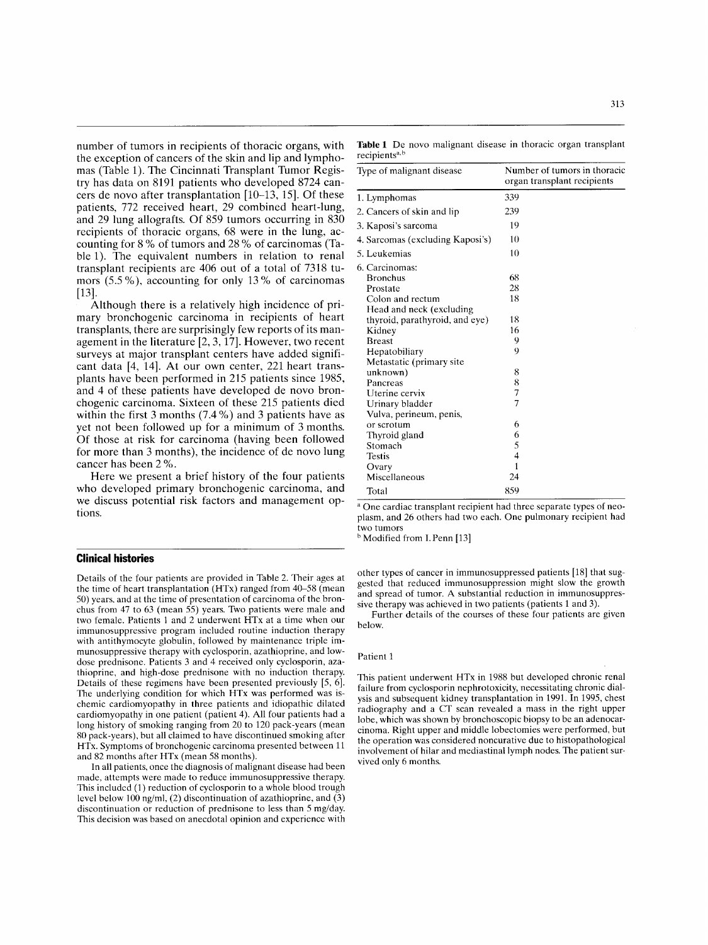number of tumors in recipients of thoracic organs, with the exception of cancers of the skin and lip and lymphomas (Table 1). The Cincinnati Transplant Tumor Registry has data on 8191 patients who developed 8724 cancers de novo after transplantation [10-13, 151. Of these patients, 772 received heart, 29 combined heart-lung, and 29 lung allografts. Of 859 tumors occurring in 830 recipients of thoracic organs, 68 were in the lung, accounting for 8 % of tumors and 28 % of carcinomas (Table 1). The equivalent numbers in relation to renal transplant recipients are 406 out of a total of 7318 tumors (5.5 %), accounting for only 13 % of carcinomas  $[13]$ .

Although there is a relatively high incidence of primary bronchogenic carcinoma in recipients of heart transplants, there are surprisingly few reports of its management in the literature [2,3,17]. However, two recent surveys at major transplant centers have added significant data [4, 141. At our own center, 221 heart transplants have been performed in 215 patients since 1985, and 4 of these patients have developed de novo bronchogenic carcinoma. Sixteen of these 215 patients died within the first 3 months (7.4%) and 3 patients have as yet not been followed up for a minimum of 3 months. Of those at risk for carcinoma (having been followed for more than 3 months), the incidence of de novo lung cancer has been 2%.

Here we present a brief history of the four patients who developed primary bronchogenic carcinoma, and we discuss potential risk factors and management options.

# **Clinical histories**

Details of the four patients are provided in Table 2. Their ages at the time of heart transplantation (HTx) ranged from 40-58 (mean *50)* years. and at the time of presentation of carcinoma of the bronchus from 47 to 63 (mean *55)* years. Two patients were male and two female. Patients 1 and 2 underwent HTx at a time when our immunosuppressive program included routine induction therapy with antithymocyte globulin, followed by maintenance triple immunosuppressive therapy with cyclosporin, azathioprine, and lowdose prednisonc. Patients 3 and 4 received only cyclosporin, azathioprine, and high-dose prednisone with no induction therapy. Details of these regimens have been presented previously [5, 6]. The underlying condition for which HTx was performed was ischemic cardiomyopathy in three patients and idiopathic dilated cardiomyopathy in one patient (patient 4). **All** four patients had a long history of smoking ranging from 20 to 120 pack-years (mean 80 pack-years), but all claimed to have discontinued smoking after HTx. Symptoms of bronchogenic carcinoma presented between 11 and 82 months after HTx (mean *58* months).

In all patients, once the diagnosis of malignant disease had been made, attempts were made to reduce immunosuppressive therapy. This includcd (1) reduction of cyclosporin to a whole blood trough level below 100 ng/ml,  $(2)$  discontinuation of azathioprine, and  $(3)$ discontinuation or reduction of prednisone to less than 5 mg/day. This decision was based on anecdotal opinion and experience with

|                            |  | Table 1 De novo malignant disease in thoracic organ transplant |  |  |  |
|----------------------------|--|----------------------------------------------------------------|--|--|--|
| recipients <sup>a, b</sup> |  |                                                                |  |  |  |

| Type of malignant disease                                                                                                                                                                                                                                                                                                                                  | Number of tumors in thoracic<br>organ transplant recipients                  |
|------------------------------------------------------------------------------------------------------------------------------------------------------------------------------------------------------------------------------------------------------------------------------------------------------------------------------------------------------------|------------------------------------------------------------------------------|
| 1. Lymphomas                                                                                                                                                                                                                                                                                                                                               | 339                                                                          |
| 2. Cancers of skin and lip                                                                                                                                                                                                                                                                                                                                 | 239                                                                          |
| 3. Kaposi's sarcoma                                                                                                                                                                                                                                                                                                                                        | 19                                                                           |
| 4. Sarcomas (excluding Kaposi's)                                                                                                                                                                                                                                                                                                                           | 10                                                                           |
| 5. Leukemias                                                                                                                                                                                                                                                                                                                                               | 10                                                                           |
| 6. Carcinomas:<br><b>Bronchus</b><br>Prostate<br>Colon and rectum<br>Head and neck (excluding<br>thyroid, parathyroid, and eye)<br>Kidney<br><b>Breast</b><br>Hepatobiliary<br>Metastatic (primary site<br>unknown)<br>Pancreas<br>Uterine cervix<br>Urinary bladder<br>Vulva, perineum, penis,<br>or scrotum<br>Thyroid gland<br>Stomach<br><b>Testis</b> | 68<br>28<br>18<br>18<br>16<br>9<br>9<br>8<br>8<br>7<br>7<br>6<br>6<br>5<br>4 |
| Ovary                                                                                                                                                                                                                                                                                                                                                      | 1                                                                            |
| Miscellaneous                                                                                                                                                                                                                                                                                                                                              | 24                                                                           |
| Total                                                                                                                                                                                                                                                                                                                                                      | 859                                                                          |

One cardiac transplant recipient had three separate types of neoplasm, and 26 others had two each. One pulmonary recipient had two tumors

<sup>b</sup> Modified from I. Penn [13]

other types of cancer in immunosuppressed patients [18] that suggested that reduced immunosuppression might slow the growth and spread of tumor. **A** substantial reduction in immunosuppressive therapy was achieved in two patients (patients 1 and 3).

Further details of the courses of these four patients are given below.

#### Patient 1

This patient underwent HTx in 1988 but developed chronic renal failure from cyclosporin nephrotoxicity, necessitating chronic dialysis and subsequent kidney transplantation in 1991. In 1995, chest radiography and a CT scan revealed a mass in the right upper lobe, which was shown by bronchoscopic biopsy to be an adenocarcinoma. Right upper and middle lobectomies were performed, but the operation was considered noncurative due to histopathological involvement of hilar and mediastinal lymph nodes. The patient survived only 6 months.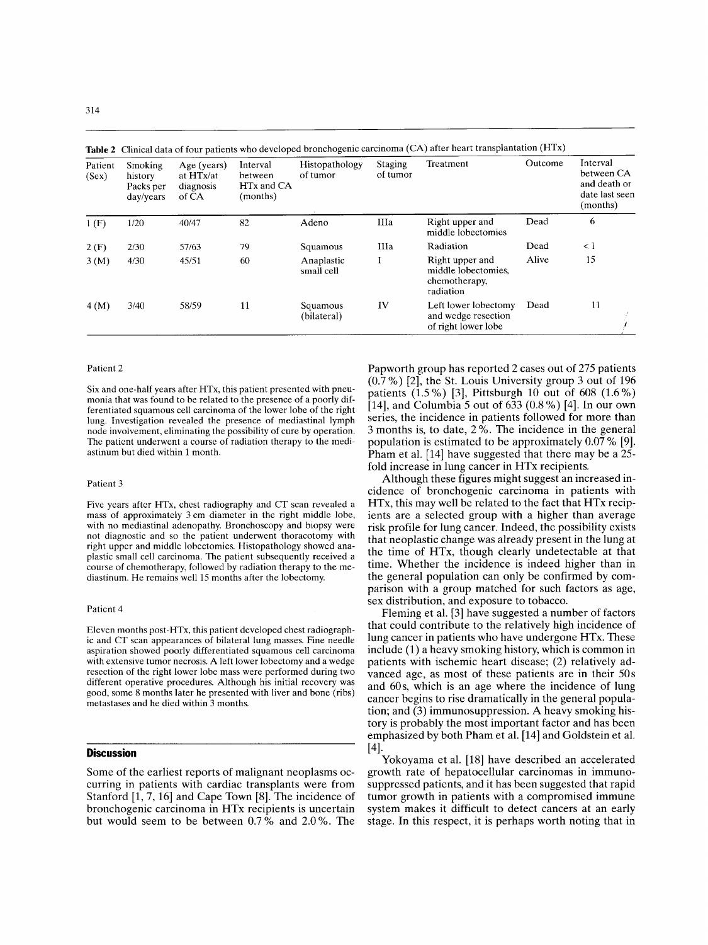| Table 2 Clinical data of four patients who developed bronchogenic carcinoma (CA) after heart transplantation (HTx) |                                              |                                                |                                               |                            |                     |                                                                      |         |                                                                      |
|--------------------------------------------------------------------------------------------------------------------|----------------------------------------------|------------------------------------------------|-----------------------------------------------|----------------------------|---------------------|----------------------------------------------------------------------|---------|----------------------------------------------------------------------|
| Patient<br>(Sex)                                                                                                   | Smoking<br>history<br>Packs per<br>day/years | Age (years)<br>at HTx/at<br>diagnosis<br>of CA | Interval<br>between<br>HTx and CA<br>(months) | Histopathology<br>of tumor | Staging<br>of tumor | Treatment                                                            | Outcome | Interval<br>between CA<br>and death or<br>date last seen<br>(months) |
| 1(F)                                                                                                               | 1/20                                         | 40/47                                          | 82                                            | Adeno                      | IIIa                | Right upper and<br>middle lobectomies                                | Dead    | 6                                                                    |
| 2(F)                                                                                                               | 2/30                                         | 57/63                                          | 79                                            | Squamous                   | IIIa                | Radiation                                                            | Dead    | $\leq 1$                                                             |
| 3(M)                                                                                                               | 4/30                                         | 45/51                                          | 60                                            | Anaplastic<br>small cell   |                     | Right upper and<br>middle lobectomies.<br>chemotherapy,<br>radiation | Alive   | 15                                                                   |
| 4(M)                                                                                                               | 3/40                                         | 58/59                                          | 11                                            | Squamous<br>(bilateral)    | IV                  | Left lower lobectomy<br>and wedge resection<br>of right lower lobe   | Dead    | 11                                                                   |

#### Patient 2

Six and one-half years after HTx, this patient presented with pneumonia that was found to be related to the presence of a poorly differentiated squamous cell carcinoma of the lower lobe of the right lung. Investigation revealed the presence of mediastinal lymph node involvement, eliminating the possibility of cure by operation. The patient underwent a course of radiation therapy to the mediastinum but died within 1 month.

#### Patient 3

Five years after HTx, chest radiography and CT scan revealed a mass of approximately 3 cm diameter in the right middle lobe, with no mediastinal adenopathy. Bronchoscopy and biopsy were not diagnostic and so the patient underwent thoracotomy with right upper and middle lobectomies. Histopathology showed anaplastic small cell carcinoma. The patient subsequently received a course of chemotherapy, followed by radiation therapy to the mediastinum. He remains well 15 months after the lobectomy.

#### Patient 4

Eleven months post-HTx, this patient developed chest radiographic and CT scan appearances of bilateral lung masses. Fine needle aspiration showed poorly differentiated squamous cell carcinoma with extensive tumor necrosis. A left lower lobectomy and a wedge resection of the right lower lobe mass were performed during two different operative procedures. Although his initial recovery was good, some 8 months later he presented with liver and bone (ribs) metastases and he died within 3 months.

# **Discussion**

Some of the earliest reports of malignant neoplasms occurring in patients with cardiac transplants were from Stanford  $[1, 7, 16]$  and Cape Town  $[8]$ . The incidence of bronchogenic carcinoma in HTx recipients is uncertain but would seem to be between 0.7 *Yo* and 2.0 *Yo.* The

Papworth group has reported 2 cases out of 275 patients (0.7 *Yo)* [2], the St. Louis University group 3 out of 196 patients (1.5%) [3], Pittsburgh 10 out of 608 (1.6%) [14], and Columbia *5* out of 633 (0.8 %) [4]. In our own series, the incidence in patients followed for more than 3 months is, to date, 2 *Yo.* The incidence in the general population is estimated to be approximately  $0.07\%$  [9]. Pham et al. [14] have suggested that there may be a 25 fold increase in lung cancer in HTx recipients.

Although these figures might suggest an increased incidence of bronchogenic carcinoma in patients with HTx, this may well be related to the fact that HTx recipients are a selected group with a higher than average risk profile for lung cancer. Indeed, the possibility exists that neoplastic change was already present in the lung at the time of HTx, though clearly undetectable at that time. Whether the incidence is indeed higher than in the general population can only be confirmed by comparison with a group matched for such factors as age, sex distribution, and exposure to tobacco.

Fleming et al. [3] have suggested a number of factors that could contribute to the relatively high incidence of lung cancer in patients who have undergone HTx. These include (1) a heavy smoking history, which is common in patients with ischemic heart disease; (2) relatively advanced age, as most of these patients are in their 50s and 60s, which is an age where the incidence of lung cancer begins to rise dramatically in the general population; and (3) immunosuppression. A heavy smoking history is probably the most important factor and has been emphasized by both Pham et al. [14] and Goldstein et al.  $[4]$ .

Yokoyama et al. [18] have described an accelerated growth rate of hepatocellular carcinomas in immunosuppressed patients, and it has been suggested that rapid tumor growth in patients with a compromised immune system makes it difficult to detect cancers at an early stage. In this respect, it is perhaps worth noting that in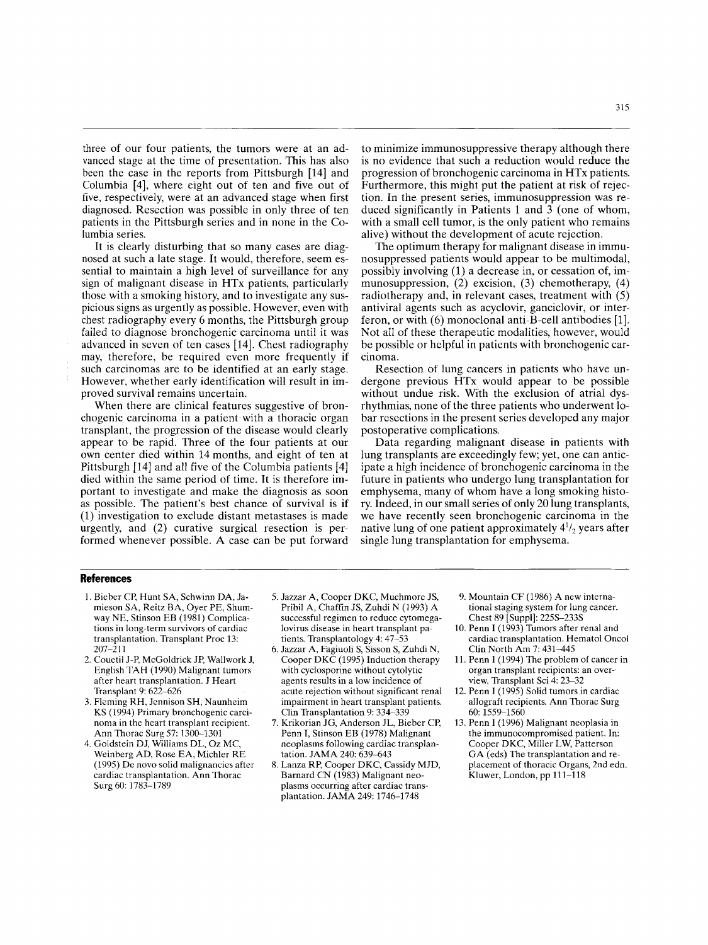three of our four patients, the tumors were at an advanced stage at the time of presentation. This has also been the case in the reports from Pittsburgh [14] and Columbia [4], where eight out of ten and five out of five, respectively, were at an advanced stage when first diagnosed. Resection was possible in only three of ten patients in the Pittsburgh series and in none in the Columbia series.

It is clearly disturbing that so many cases are diagnosed at such a late stage. It would, therefore, seem essential to maintain a high level of surveillance for any sign of malignant disease in HTx patients, particularly those with a smoking history, and to investigate any suspicious signs as urgently as possible. However, even with chest radiography every 6 months, the Pittsburgh group failed to diagnose bronchogenic carcinoma until it was advanced in seven of ten cases [14]. Chest radiography may, therefore, be required even more frequently if such carcinomas are to be identified at an early stage. However, whether early identification will result in improved survival remains uncertain.

When there are clinical features suggestive of bronchogenic carcinoma in a patient with a thoracic organ transplant, the progression of the disease would clearly appear to be rapid. Three of the four patients at our own center died within **14** months, and eight of ten at Pittsburgh [14] and all five of the Columbia patients [4] died within the same period of time. It is therefore important to investigate and make the diagnosis as soon as possible. The patient's best chance of survival is if (1) investigation to exclude distant metastases is made urgently, and (2) curative surgical resection is performed whenever possible. **A** case can be put forward to minimize immunosuppressive therapy although there is no evidence that such a reduction would reduce the progression of bronchogenic carcinoma in HTx patients. Furthermore, this might put the patient at risk of rejection. In the present series, immunosuppression was reduced significantly in Patients 1 and *3* (one of whom, with a small cell tumor, is the only patient who remains alive) without the development of acute rejection.

The optimum therapy for malignant disease in immunosuppressed patients would appear to be multimodal, possibly involving (1) a decrease in, or cessation of, immunosuppression, (2) excision, *(3)* chemotherapy, (4) radiotherapy and, in relevant cases, treatment with *(5)*  antiviral agents such as acyclovir, ganciclovir, or interferon, or with (6) monoclonal anti-B-cell antibodies [l]. Not all of these therapeutic modalities, however, would be possible or helpful in patients with bronchogenic carcinoma.

Resection of lung cancers in patients who have undergone previous HTx would appear to be possible without undue risk. With the exclusion of atrial dysrhythmias, none of the three patients who underwent lobar resections in the present series developed any major postoperative complications.

Data regarding malignant disease in patients with lung transplants are exceedingly few; yet, one can anticipate a high incidence of bronchogenic carcinoma in the future in patients who undergo lung transplantation for emphysema, many of whom have a long smoking history. Indeed, in our small series of only 20 lung transplants, we have recently seen bronchogenic carcinoma in the native lung of one patient approximately  $4\frac{1}{2}$  years after single lung transplantation for emphysema.

### **References**

- 1. Bieber CP, Hunt SA, Schwinn DA, Jamieson SA, Reitz BA, Oyer PE, Shumway NE, Stinson EB (1981) Complications in long-term survivors of cardiac transplantation. Transplant Proc 13: 207-21 1
- 2. Couetil J-P, McGoldrick JP, Wallwork J, English TAH (1990) Malignant tumors after heart transplantation. **J** Heart Transplant 9: 622-626
- 3. Fleming RH, Jennison SH, Naunheim KS (1994) Primary bronchogenic carcinoma in the heart transplant recipient. Ann Thorac Surg 57: 1300-1301
- Weinberg AD, Rose EA, Michler RE (1995) De novo solid malignancies after cardiac transplantation. Ann Thorac Surg 60: 1783-1789 4. Goldstein DJ, Williams DL, Oz MC,
- 5. Jazzar **A,** Cooper DKC, Muchmore JS, Pribil A, Chaffin **JS,** Zuhdi N (1993) **A**  successful regimen to reduce cytomegalovirus disease in heart transplant patients. Transplantology 4: 47-53
- 6. Jazzar A, Fagiuoli S, Sisson **S,** Zuhdi N, Cooper DKC (1995) Induction therapy with cyclosporine without cytolytic agents results in a low incidence of acute rejection without significant renal impairment in heart transplant patients. Clin Transplantation 9: 334-339
- **7.** Krikorian JG, Anderson JL, Bieber CP, Penn I, Stinson EB (1978) Malignant neoplasms following cardiac transplantation. JAMA 240: 639-643
- 8. Lanza RP, Cooper DKC, Cassidy MJD, Barnard CN (1983) Malignant neoplasms occurring after cardiac transplantation. JAMA 249: 1746-1748
- 9. Mountain CF (1986) A new international staging system for lung cancer. Chest 89 [Suppl]: 2253-233s
- 10. Penn I(1993) Tumors after renal and cardiac transplantation. Hematol Oncol Clin North Am 7: 431-445
- 11. Penn I (1994) The problem of cancer in organ transplant recipients: an overview. Transplant Sci 4: 23-32
- 12. Penn I (1995) Solid tumors in cardiac allograft recipients. Ann Thorac Surg 60: 1559-1560
- 13. Penn I(1996) Malignant neoplasia in the immunocompromised patient. In: Cooper DKC, Miller LW, Patterson GA (eds) The transplantation and replacement of thoracic Organs, 2nd edn. Kluwer, London, pp 111-118